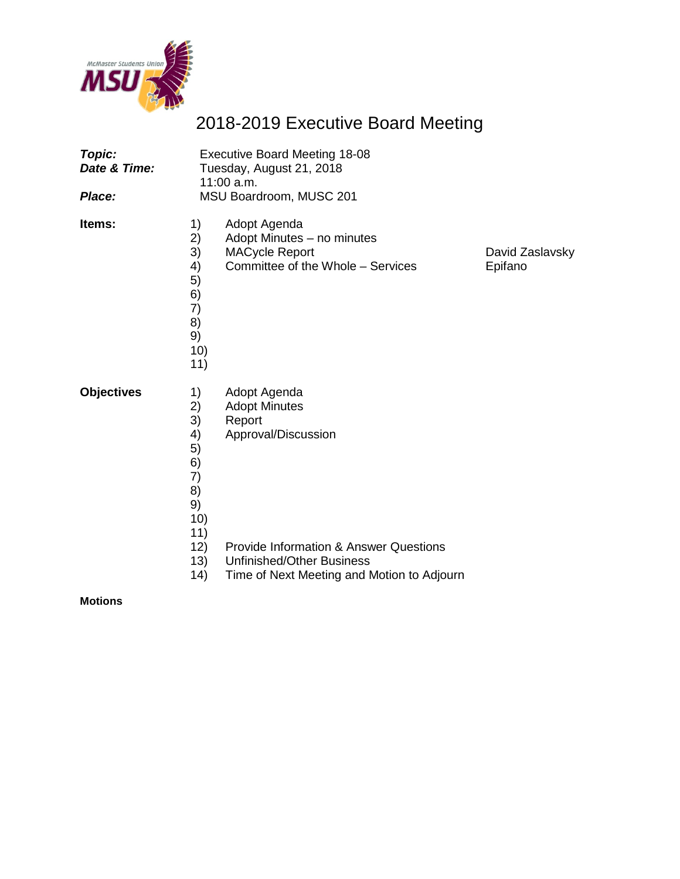

# 2018-2019 Executive Board Meeting

| Topic:<br>Date & Time:<br>Place: | <b>Executive Board Meeting 18-08</b><br>Tuesday, August 21, 2018<br>$11:00$ a.m.<br>MSU Boardroom, MUSC 201 |                                                                                                                                                                |                            |  |  |
|----------------------------------|-------------------------------------------------------------------------------------------------------------|----------------------------------------------------------------------------------------------------------------------------------------------------------------|----------------------------|--|--|
| ltems:                           | 1)<br>2)<br>3)<br>4)<br>5)<br>6)<br>7)<br>8)<br>9)<br>10)<br>11)                                            | Adopt Agenda<br>Adopt Minutes - no minutes<br><b>MACycle Report</b><br>Committee of the Whole - Services                                                       | David Zaslavsky<br>Epifano |  |  |
| <b>Objectives</b>                | 1)<br>2)<br>3)<br>4)<br>5)<br>6)<br>7)<br>8)<br>9)<br>10)<br>11)<br>12)<br>13)                              | Adopt Agenda<br><b>Adopt Minutes</b><br>Report<br>Approval/Discussion<br><b>Provide Information &amp; Answer Questions</b><br><b>Unfinished/Other Business</b> |                            |  |  |
|                                  | (14)                                                                                                        | Time of Next Meeting and Motion to Adjourn                                                                                                                     |                            |  |  |

**Motions**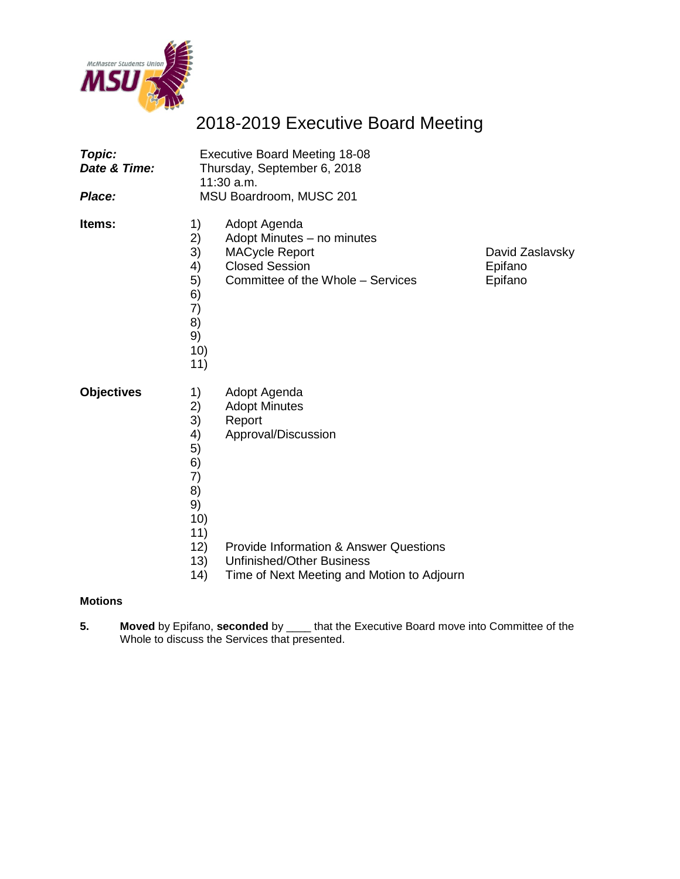

# 2018-2019 Executive Board Meeting

| Topic:<br>Date & Time:<br>Place: | <b>Executive Board Meeting 18-08</b><br>Thursday, September 6, 2018<br>$11:30$ a.m.<br>MSU Boardroom, MUSC 201 |                                                                                                                                     |                                       |  |  |
|----------------------------------|----------------------------------------------------------------------------------------------------------------|-------------------------------------------------------------------------------------------------------------------------------------|---------------------------------------|--|--|
| Items:                           | 1)<br>2)<br>3)<br>4)<br>5)<br>6)<br>7)<br>8)<br>9)<br>10)<br>11)                                               | Adopt Agenda<br>Adopt Minutes - no minutes<br><b>MACycle Report</b><br><b>Closed Session</b><br>Committee of the Whole - Services   | David Zaslavsky<br>Epifano<br>Epifano |  |  |
| <b>Objectives</b>                | 1)<br>2)<br>3)<br>4)<br>5)<br>6)<br>7)<br>8)<br>9)<br>10)<br>11)                                               | Adopt Agenda<br><b>Adopt Minutes</b><br>Report<br>Approval/Discussion                                                               |                                       |  |  |
|                                  | 12)<br>13)<br>(14)                                                                                             | <b>Provide Information &amp; Answer Questions</b><br><b>Unfinished/Other Business</b><br>Time of Next Meeting and Motion to Adjourn |                                       |  |  |

#### **Motions**

**5. Moved** by Epifano, **seconded** by \_\_\_\_ that the Executive Board move into Committee of the Whole to discuss the Services that presented.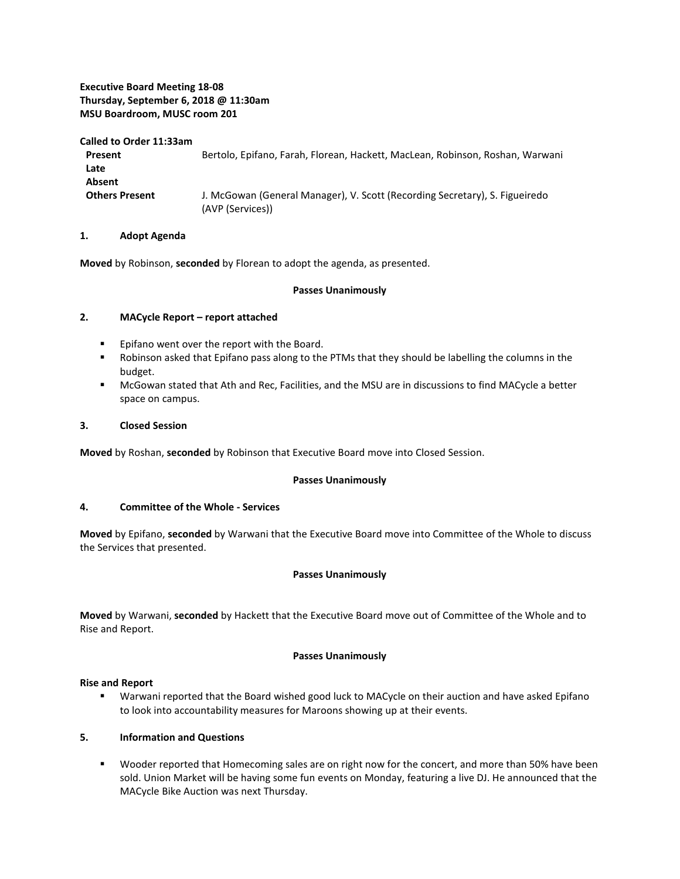#### **Executive Board Meeting 18-08 Thursday, September 6, 2018 @ 11:30am MSU Boardroom, MUSC room 201**

**Called to Order 11:33am**

**Present** Bertolo, Epifano, Farah, Florean, Hackett, MacLean, Robinson, Roshan, Warwani **Late Absent Others Present** J. McGowan (General Manager), V. Scott (Recording Secretary), S. Figueiredo (AVP (Services))

#### **1. Adopt Agenda**

**Moved** by Robinson, **seconded** by Florean to adopt the agenda, as presented.

#### **Passes Unanimously**

#### **2. MACycle Report – report attached**

- **Epifano went over the report with the Board.**
- **BED 10.5 In A** Cobinson asked that Epifano pass along to the PTMs that they should be labelling the columns in the budget.
- McGowan stated that Ath and Rec, Facilities, and the MSU are in discussions to find MACycle a better space on campus.

#### **3. Closed Session**

**Moved** by Roshan, **seconded** by Robinson that Executive Board move into Closed Session.

#### **Passes Unanimously**

#### **4. Committee of the Whole - Services**

**Moved** by Epifano, **seconded** by Warwani that the Executive Board move into Committee of the Whole to discuss the Services that presented.

#### **Passes Unanimously**

**Moved** by Warwani, **seconded** by Hackett that the Executive Board move out of Committee of the Whole and to Rise and Report.

#### **Passes Unanimously**

#### **Rise and Report**

 Warwani reported that the Board wished good luck to MACycle on their auction and have asked Epifano to look into accountability measures for Maroons showing up at their events.

#### **5. Information and Questions**

**UX** Wooder reported that Homecoming sales are on right now for the concert, and more than 50% have been sold. Union Market will be having some fun events on Monday, featuring a live DJ. He announced that the MACycle Bike Auction was next Thursday.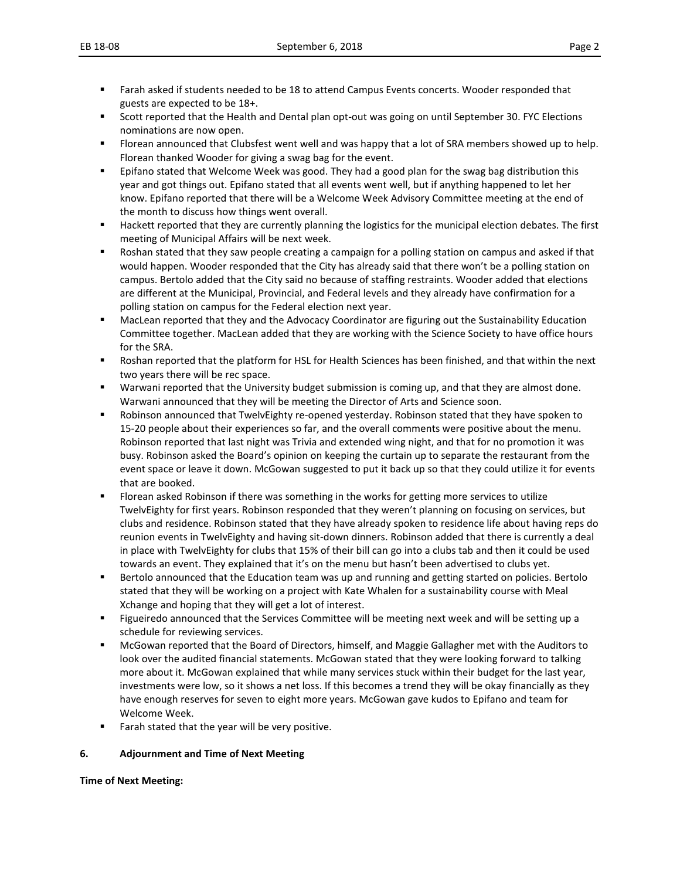- Farah asked if students needed to be 18 to attend Campus Events concerts. Wooder responded that guests are expected to be 18+.
- Scott reported that the Health and Dental plan opt-out was going on until September 30. FYC Elections nominations are now open.
- **FIOT** Florean announced that Clubsfest went well and was happy that a lot of SRA members showed up to help. Florean thanked Wooder for giving a swag bag for the event.
- Epifano stated that Welcome Week was good. They had a good plan for the swag bag distribution this year and got things out. Epifano stated that all events went well, but if anything happened to let her know. Epifano reported that there will be a Welcome Week Advisory Committee meeting at the end of the month to discuss how things went overall.
- **Hackett reported that they are currently planning the logistics for the municipal election debates. The first** meeting of Municipal Affairs will be next week.
- Roshan stated that they saw people creating a campaign for a polling station on campus and asked if that would happen. Wooder responded that the City has already said that there won't be a polling station on campus. Bertolo added that the City said no because of staffing restraints. Wooder added that elections are different at the Municipal, Provincial, and Federal levels and they already have confirmation for a polling station on campus for the Federal election next year.
- MacLean reported that they and the Advocacy Coordinator are figuring out the Sustainability Education Committee together. MacLean added that they are working with the Science Society to have office hours for the SRA.
- Roshan reported that the platform for HSL for Health Sciences has been finished, and that within the next two years there will be rec space.
- Warwani reported that the University budget submission is coming up, and that they are almost done. Warwani announced that they will be meeting the Director of Arts and Science soon.
- Robinson announced that TwelvEighty re-opened yesterday. Robinson stated that they have spoken to 15-20 people about their experiences so far, and the overall comments were positive about the menu. Robinson reported that last night was Trivia and extended wing night, and that for no promotion it was busy. Robinson asked the Board's opinion on keeping the curtain up to separate the restaurant from the event space or leave it down. McGowan suggested to put it back up so that they could utilize it for events that are booked.
- Florean asked Robinson if there was something in the works for getting more services to utilize TwelvEighty for first years. Robinson responded that they weren't planning on focusing on services, but clubs and residence. Robinson stated that they have already spoken to residence life about having reps do reunion events in TwelvEighty and having sit-down dinners. Robinson added that there is currently a deal in place with TwelvEighty for clubs that 15% of their bill can go into a clubs tab and then it could be used towards an event. They explained that it's on the menu but hasn't been advertised to clubs yet.
- Bertolo announced that the Education team was up and running and getting started on policies. Bertolo stated that they will be working on a project with Kate Whalen for a sustainability course with Meal Xchange and hoping that they will get a lot of interest.
- Figueiredo announced that the Services Committee will be meeting next week and will be setting up a schedule for reviewing services.
- McGowan reported that the Board of Directors, himself, and Maggie Gallagher met with the Auditors to look over the audited financial statements. McGowan stated that they were looking forward to talking more about it. McGowan explained that while many services stuck within their budget for the last year, investments were low, so it shows a net loss. If this becomes a trend they will be okay financially as they have enough reserves for seven to eight more years. McGowan gave kudos to Epifano and team for Welcome Week.
- Farah stated that the year will be very positive.

#### **6. Adjournment and Time of Next Meeting**

#### **Time of Next Meeting:**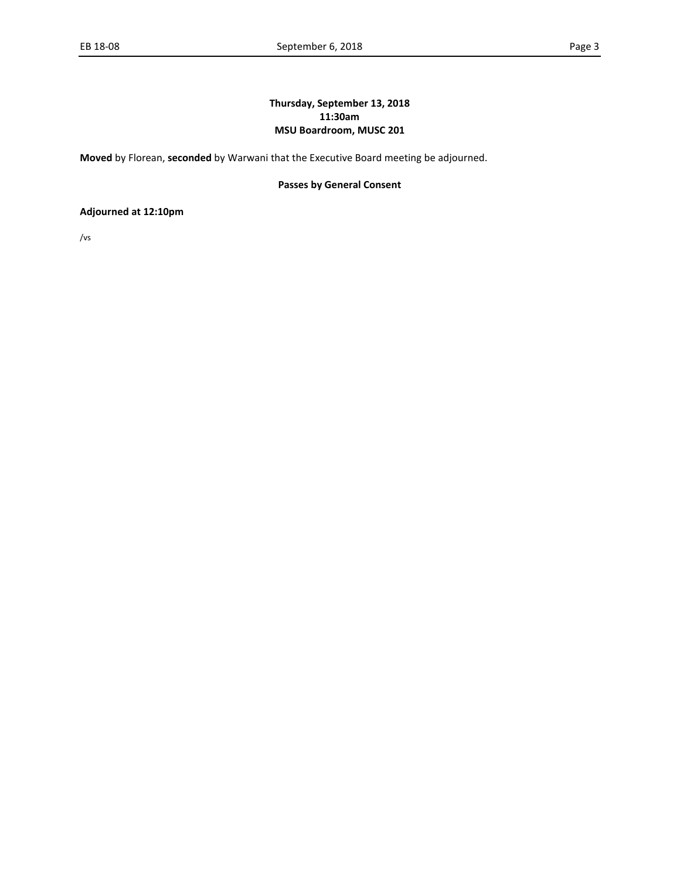#### **Thursday, September 13, 2018 11:30am MSU Boardroom, MUSC 201**

**Moved** by Florean, **seconded** by Warwani that the Executive Board meeting be adjourned.

#### **Passes by General Consent**

**Adjourned at 12:10pm**

/vs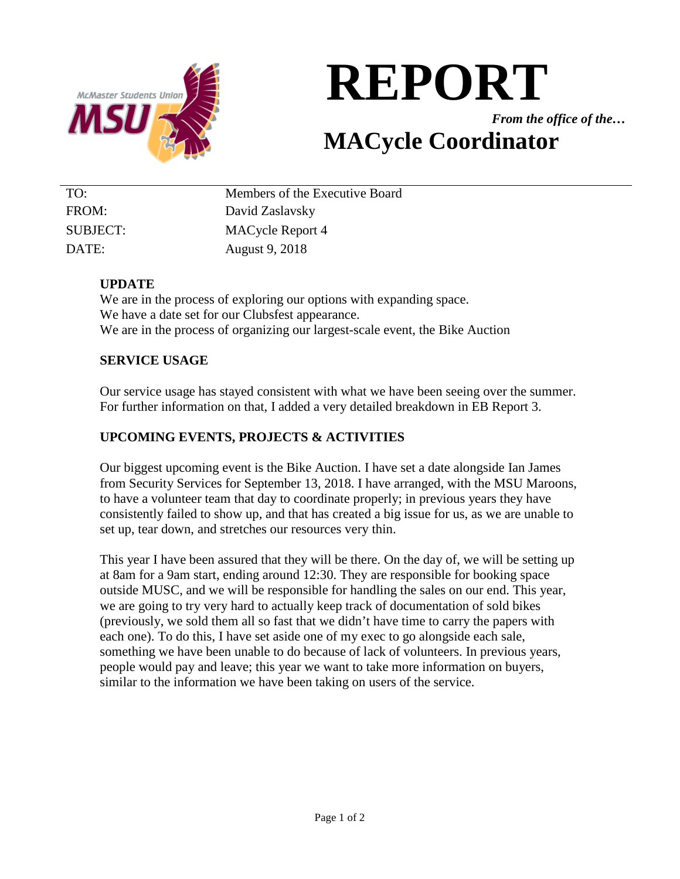

# **REPORT**

*From the office of the…*

# **MACycle Coordinator**

| TO:      | Members of the Executive Board |
|----------|--------------------------------|
| FROM:    | David Zaslavsky                |
| SUBJECT: | <b>MACycle Report 4</b>        |
| DATE:    | August 9, 2018                 |

# **UPDATE**

We are in the process of exploring our options with expanding space. We have a date set for our Clubsfest appearance. We are in the process of organizing our largest-scale event, the Bike Auction

# **SERVICE USAGE**

Our service usage has stayed consistent with what we have been seeing over the summer. For further information on that, I added a very detailed breakdown in EB Report 3.

# **UPCOMING EVENTS, PROJECTS & ACTIVITIES**

Our biggest upcoming event is the Bike Auction. I have set a date alongside Ian James from Security Services for September 13, 2018. I have arranged, with the MSU Maroons, to have a volunteer team that day to coordinate properly; in previous years they have consistently failed to show up, and that has created a big issue for us, as we are unable to set up, tear down, and stretches our resources very thin.

This year I have been assured that they will be there. On the day of, we will be setting up at 8am for a 9am start, ending around 12:30. They are responsible for booking space outside MUSC, and we will be responsible for handling the sales on our end. This year, we are going to try very hard to actually keep track of documentation of sold bikes (previously, we sold them all so fast that we didn't have time to carry the papers with each one). To do this, I have set aside one of my exec to go alongside each sale, something we have been unable to do because of lack of volunteers. In previous years, people would pay and leave; this year we want to take more information on buyers, similar to the information we have been taking on users of the service.